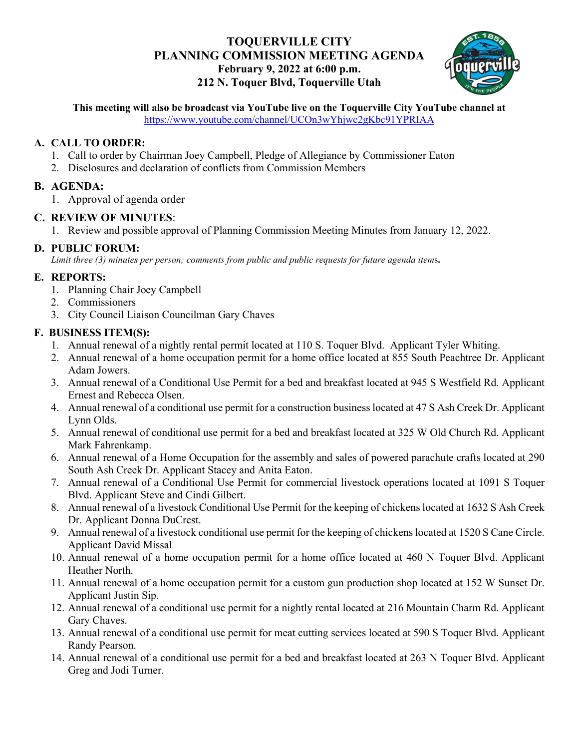# **TOQUERVILLE CITY PLANNING COMMISSION MEETING AGENDA February 9, 2022 at 6:00 p.m. 212 N. Toquer Blvd, Toquerville Utah**



**This meeting will also be broadcast via YouTube live on the Toquerville City YouTube channel at**  <https://www.youtube.com/channel/UCOn3wYhjwc2gKbc91YPRIAA>

#### **A. CALL TO ORDER:**

- 1. Call to order by Chairman Joey Campbell, Pledge of Allegiance by Commissioner Eaton
- 2. Disclosures and declaration of conflicts from Commission Members

## **B. AGENDA:**

1. Approval of agenda order

#### **C. REVIEW OF MINUTES**:

1. Review and possible approval of Planning Commission Meeting Minutes from January 12, 2022.

## **D. PUBLIC FORUM:**

*Limit three (3) minutes per person; comments from public and public requests for future agenda item*s**.**

## **E. REPORTS:**

- 1. Planning Chair Joey Campbell
- 2. Commissioners
- 3. City Council Liaison Councilman Gary Chaves

# **F. BUSINESS ITEM(S):**

- 1. Annual renewal of a nightly rental permit located at 110 S. Toquer Blvd. Applicant Tyler Whiting.
- 2. Annual renewal of a home occupation permit for a home office located at 855 South Peachtree Dr. Applicant Adam Jowers.
- 3. Annual renewal of a Conditional Use Permit for a bed and breakfast located at 945 S Westfield Rd. Applicant Ernest and Rebecca Olsen.
- 4. Annual renewal of a conditional use permit for a construction business located at 47 S Ash Creek Dr. Applicant Lynn Olds.
- 5. Annual renewal of conditional use permit for a bed and breakfast located at 325 W Old Church Rd. Applicant Mark Fahrenkamp.
- 6. Annual renewal of a Home Occupation for the assembly and sales of powered parachute crafts located at 290 South Ash Creek Dr. Applicant Stacey and Anita Eaton.
- 7. Annual renewal of a Conditional Use Permit for commercial livestock operations located at 1091 S Toquer Blvd. Applicant Steve and Cindi Gilbert.
- 8. Annual renewal of a livestock Conditional Use Permit for the keeping of chickens located at 1632 S Ash Creek Dr. Applicant Donna DuCrest.
- 9. Annual renewal of a livestock conditional use permit for the keeping of chickens located at 1520 S Cane Circle. Applicant David Missal
- 10. Annual renewal of a home occupation permit for a home office located at 460 N Toquer Blvd. Applicant Heather North.
- 11. Annual renewal of a home occupation permit for a custom gun production shop located at 152 W Sunset Dr. Applicant Justin Sip.
- 12. Annual renewal of a conditional use permit for a nightly rental located at 216 Mountain Charm Rd. Applicant Gary Chaves.
- 13. Annual renewal of a conditional use permit for meat cutting services located at 590 S Toquer Blvd. Applicant Randy Pearson.
- 14. Annual renewal of a conditional use permit for a bed and breakfast located at 263 N Toquer Blvd. Applicant Greg and Jodi Turner.